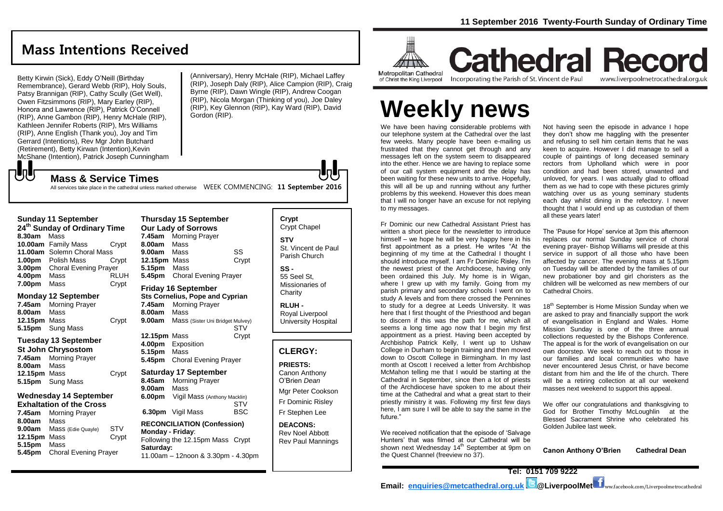## **Mass Intentions Received**

Betty Kirwin (Sick), Eddy O'Neill (Birthday Remembrance), Gerard Webb (RIP), Holy Souls, Patsy Brannigan (RIP), Cathy Scully (Get Well), Owen Fitzsimmons (RIP), Mary Earley (RIP), Honora and Lawrence (RIP), Patrick O'Connell (RIP), Anne Gambon (RIP), Henry McHale (RIP), Kathleen Jennifer Roberts (RIP), Mrs Williams (RIP), Anne English (Thank you), Joy and Tim Gerrard (Intentions), Rev Mgr John Butchard (Retirement), Betty Kirwan (Intention),Kevin McShane (Intention), Patrick Joseph Cunningham (Anniversary), Henry McHale (RIP), Michael Laffey (RIP), Joseph Daly (RIP), Alice Campion (RIP), Craig Byrne (RIP), Dawn Wingle (RIP), Andrew Coogan (RIP), Nicola Morgan (Thinking of you), Joe Daley (RIP), Key Glennon (RIP), Kay Ward (RIP), David Gordon (RIP).

でし **Mass & Service Times**

All services take place in the cathedral unless marked otherwise WEEK COMMENCING: **11 September 2016** 

| <b>Sunday 11 September</b><br>24 <sup>th</sup> Sunday of Ordinary Time |                              |             |  |
|------------------------------------------------------------------------|------------------------------|-------------|--|
| 8.30am                                                                 | Mass                         |             |  |
|                                                                        | 10.00am Family Mass          | Crypt       |  |
|                                                                        | 11.00am Solemn Choral Mass   |             |  |
| 1.00 <sub>pm</sub>                                                     | Polish Mass                  | Crypt       |  |
| 3.00pm                                                                 | <b>Choral Evening Prayer</b> |             |  |
| 4.00pm                                                                 | Mass                         | <b>RLUH</b> |  |
| 7.00pm                                                                 | Mass                         | Crvpt       |  |

#### **Monday 12 September**

**7.45am** Morning Prayer **8.00am** Mass **12.15pm** Mass Crypt **5.15pm** Sung Mass

#### **Tuesday 13 September**

| St John Chrysostom  |                         |       |
|---------------------|-------------------------|-------|
|                     | 7.45am Morning Prayer   |       |
| <b>8.00am</b> Mass  |                         |       |
| <b>12.15pm</b> Mass |                         | Crypt |
|                     | <b>5.15pm</b> Sung Mass |       |

#### **Wednesday 14 September Exhaltation of the Cross**

**7.45am** Morning Prayer **8.00am** Mass **9.00am** Mass (Edie Quayle) STV **12.15pm** Mass Crypt **5.15pm** Mass **5.45pm** Choral Evening Prayer

#### **Thursday 15 September Our Lady of Sorrows 7.45am** Morning Prayer **8.00am** Mass **9.00am** Mass SS **12.15pm** Mass Crypt **5.15pm** Mass **5.45pm** Choral Evening Prayer **Friday 16 September**

**Sts Cornelius, Pope and Cyprian 7.45am** Morning Prayer **8.00am** Mass **9.00am** Mass (Sister Uni Bridget Mulvey) **STV** 

**12.15pm** Mass Crypt **4.00pm** Exposition **5.15pm** Mass **5.45pm** Choral Evening Prayer

#### **Saturday 17 September**

**8.45am** Morning Prayer **9.00am** Mass **6.00pm** Vigil Mass (Anthony Macklin) **STV 6.30pm** Vigil Mass BSC

#### **RECONCILIATION (Confession) Monday - Friday**: Following the 12.15pm Mass Crypt **Saturday:**

11.00am – 12noon & 3.30pm - 4.30pm

| Givpi Ghapei                                            |
|---------------------------------------------------------|
| STV<br>St. Vincent de Paul<br>Parish Church             |
| SS -<br>55 Seel St.<br>Missionaries of<br>Charity       |
| <b>RLUH -</b><br>Royal Liverpool<br>University Hospital |

**Crypt**  Cript Chapel

#### **CLERGY:**

#### **PRIESTS:** Canon Anthony O'Brien *Dean* Mgr Peter Cookson Fr Dominic Risley Fr Stephen Lee

**DEACONS:** Rev Noel Abbott Rev Paul Mannings



**Cathedral Record** Incorporating the Parish of St. Vincent de Paul www.liverpoolmetrocathedral.org.uk

# **Weekly news**

We have been having considerable problems with our telephone system at the Cathedral over the last few weeks. Many people have been e-mailing us frustrated that they cannot get through and any messages left on the system seem to disappeared into the ether. Hence we are having to replace some of our call system equipment and the delay has been waiting for these new units to arrive. Hopefully, this will all be up and running without any further problems by this weekend. However this does mean that I will no longer have an excuse for not replying to my messages.

Fr Dominic our new Cathedral Assistant Priest has written a short piece for the newsletter to introduce himself – we hope he will be very happy here in his first appointment as a priest. He writes "At the beginning of my time at the Cathedral I thought I should introduce myself. I am Fr Dominic Risley. I'm the newest priest of the Archdiocese, having only been ordained this July. My home is in Wigan, where I grew up with my family. Going from my parish primary and secondary schools I went on to study A levels and from there crossed the Pennines to study for a degree at Leeds University. It was here that I first thought of the Priesthood and began to discern if this was the path for me, which all seems a long time ago now that I begin my first appointment as a priest. Having been accepted by Archbishop Patrick Kelly, I went up to Ushaw College in Durham to begin training and then moved down to Oscott College in Birmingham. In my last month at Oscott I received a letter from Archbishop McMahon telling me that I would be starting at the Cathedral in September, since then a lot of priests of the Archdiocese have spoken to me about their time at the Cathedral and what a great start to their priestly ministry it was. Following my first few days here, I am sure I will be able to say the same in the future."

We received notification that the episode of 'Salvage Hunters' that was filmed at our Cathedral will be shown next Wednesday 14<sup>th</sup> September at 9pm on the Quest Channel (freeview no 37).

Not having seen the episode in advance I hope they don't show me haggling with the presenter and refusing to sell him certain items that he was keen to acquire. However I did manage to sell a couple of paintings of long deceased seminary rectors from Upholland which were in poor condition and had been stored, unwanted and unloved, for years. I was actually glad to offload them as we had to cope with these pictures grimly watching over us as young seminary students each day whilst dining in the refectory. I never thought that I would end up as custodian of them all these years later!

The 'Pause for Hope' service at 3pm this afternoon replaces our normal Sunday service of choral evening prayer- Bishop Williams will preside at this service in support of all those who have been affected by cancer. The evening mass at 5.15pm on Tuesday will be attended by the families of our new probationer boy and girl choristers as the children will be welcomed as new members of our Cathedral Choirs.

18<sup>th</sup> September is Home Mission Sunday when we are asked to pray and financially support the work of evangelisation in England and Wales. Home Mission Sunday is one of the three annual collections requested by the Bishops Conference. The appeal is for the work of evangelisation on our own doorstep. We seek to reach out to those in our families and local communities who have never encountered Jesus Christ, or have become distant from him and the life of the church. There will be a retiring collection at all our weekend masses next weekend to support this appeal.

We offer our congratulations and thanksgiving to God for Brother Timothy McLoughlin at the Blessed Sacrament Shrine who celebrated his Golden Jubilee last week.

**Canon Anthony O'Brien Cathedral Dean**